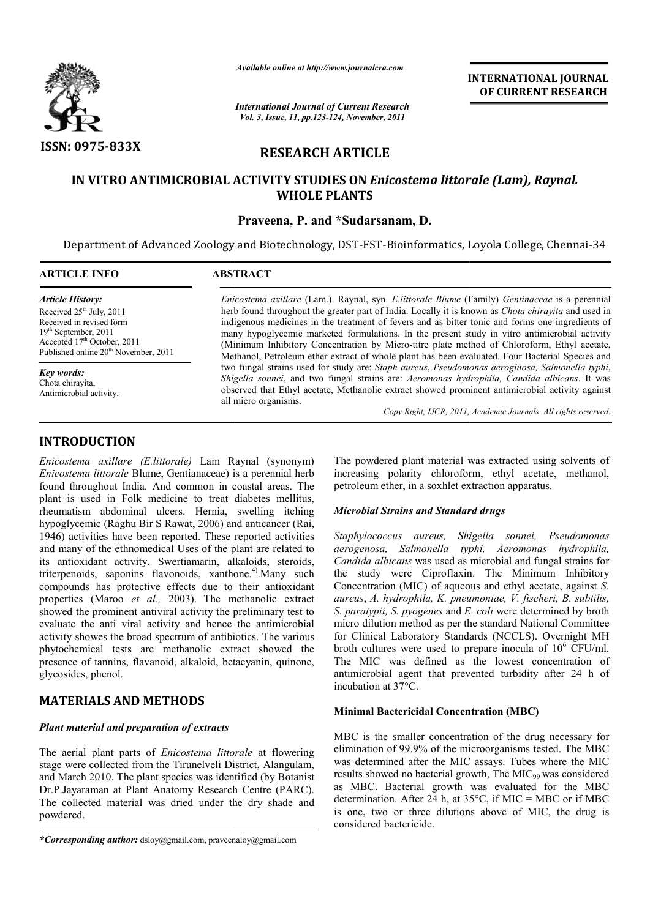

*Available online at http://www.journalcra.com*

*International Journal of Current Research Vol. 3, Issue, 11, pp.123-124, November, 2011*

**INTERNATIONAL INTERNATIONAL JOURNAL OF CURRENT RESEARCH** 

# **RESEARCH ARTICLE**

# **IN VITRO ANTIMICROBIAL ACTIVITY STUDIES ON**  *Enicostema littorale (Lam), Raynal.* **WHOLE PLANTS**

### **Praveena, P. and \*Sudarsanam, D.**

Department of Advanced Zoology and Biotechnology, DST-FST-Bioinformatics, Loyola College, Chennai-34

 $\overline{a}$ 

| <b>ARTICLE INFO</b>                                                                                                                                                                                               | ABSTRACT                                                                                                                                                                                                                                                                                                                                                                                                                                                                                                                                                                                                            |
|-------------------------------------------------------------------------------------------------------------------------------------------------------------------------------------------------------------------|---------------------------------------------------------------------------------------------------------------------------------------------------------------------------------------------------------------------------------------------------------------------------------------------------------------------------------------------------------------------------------------------------------------------------------------------------------------------------------------------------------------------------------------------------------------------------------------------------------------------|
| <i><b>Article History:</b></i><br>Received $25th$ July, 2011<br>Received in revised form<br>$19th$ September, 2011<br>Accepted 17 <sup>th</sup> October, 2011<br>Published online 20 <sup>th</sup> November, 2011 | Enicostema axillare (Lam.). Raynal, syn. E.littorale Blume (Family) Gentinaceae is a perennial<br>herb found throughout the greater part of India. Locally it is known as <i>Chota chirayita</i> and used in<br>indigenous medicines in the treatment of fevers and as bitter tonic and forms one ingredients of<br>many hypoglycemic marketed formulations. In the present study in vitro antimicrobial activity<br>(Minimum Inhibitory Concentration by Micro-titre plate method of Chloroform, Ethyl acetate,<br>Methanol, Petroleum ether extract of whole plant has been evaluated. Four Bacterial Species and |
| <b>Key words:</b><br>Chota chiravita.<br>Antimicrobial activity.                                                                                                                                                  | two fungal strains used for study are: Staph aureus, Pseudomonas aeroginosa, Salmonella typhi,<br>Shigella sonnei, and two fungal strains are: Aeromonas hydrophila, Candida albicans. It was<br>observed that Ethyl acetate, Methanolic extract showed prominent antimicrobial activity against<br>all micro organisms.<br>Copy Right, IJCR, 2011, Academic Journals. All rights reserved.                                                                                                                                                                                                                         |

# **INTRODUCTION**

*Enicostema axillare (E.littorale)* Lam Raynal (synonym) *Enicostema littorale* Blume, Gentianaceae) is a perennial herb found throughout India. And common in coastal areas. The plant is used in Folk medicine to treat diabetes mellitus, rheumatism abdominal ulcers. Hernia, swelling itching hypoglycemic (Raghu Bir S Rawat, 2006) and a anticancer (Rai, 1946) activities have been reported. These reported activities and many of the ethnomedical Uses of the plant are related to its antioxidant activity. Swertiamarin, alkaloids, steroids, triterpenoids, saponins flavonoids, xanthone.<sup>4)</sup>. Many such compounds has protective effects due to their antioxidant properties (Maroo *et al.,* 2003). The methanolic extract showed the prominent antiviral activity the preliminary test to evaluate the anti viral activity and hence the antimicrobial activity showes the broad spectrum of antibiotics. The various phytochemical tests are methanolic extract showed the presence of tannins, flavanoid, alkaloid, betacyanin, quinone, glycosides, phenol. *lare (E.Ittrocale)* Lam Raynal (synonym) <sup>The</sup> powdered plant material was extracted using<br>*ade* Blume, Gentianaceae) is a perennial herb increasing polarity chloroform, ethyl acetate,<br>India. And common in coastal areas.

# **MATERIALS AND METHODS**

### *Plant material and preparation of extracts*

The aerial plant parts of *Enicostema littorale* at flowering stage were collected from the Tirunelveli District, Alangulam, and March 2010. The plant species was identified (by Botanist Dr.P.Jayaraman at Plant Anatomy Research Centre (PARC). The collected material was dried under the dry shade and powdered.

increasing polarity chloroform, ethyl acetate, methanol, petroleum ether, in a soxhlet extraction apparatus. petroleum ether, in a soxhlet extraction apparatus. The powdered plant material was extracted using solvents of

### *Microbial Strains and Standard drugs Standard drugs*

*Staphylococcus aureus, Shigella sonnei, Pseudomonas aerogenosa, Salmonella typhi, Aeromonas hydrophila,*  Candida albicans was used as microbial and fungal strains for the study were Ciproflaxin. The Minimum Inhibitory Concentration (MIC) of aqueous and ethyl acetate, against *S*. *aureus*, *A. hydrophila, K. pneumoniae, V. K. V. fischeri, B. subtilis, S. paratypii, S. pyogenes* and *E. coli E.* were determined by broth micro dilution method as per the standard National Committee micro dilution method as per the standard National Committee<br>for Clinical Laboratory Standards (NCCLS). Overnight MH broth cultures were used to prepare inocula of  $10^6$  CFU/ml. The MIC was defined as the lowest concentration of antimicrobial agent that prevented turbidity after 24 h of incubation at 37°C.

### **Minimal Bactericidal Concentration (MBC)**

MBC is the smaller concentration of the drug necessary for antimicrobial agent that prevented turbidity after 24 h of<br>
incubation at 37°C.<br> **Minimal Bactericidal Concentration (MBC)**<br>
MBC is the smaller concentration of the drug necessary for<br>
elimination of 99.9% of the microorga was determined after the MIC assays. Tubes where the MIC results showed no bacterial growth, The MIC<sub>99</sub> was considered as MBC. Bacterial growth was evaluated for the MBC determination. After 24 h, at  $35^{\circ}$ C, if MIC = MBC or if MBC is one, two or three dilutions above of MIC, the drug is considered bactericide. as MBC. Bacterial growth was evaluated for the MBC determination. After 24 h, at  $35^{\circ}$ C, if MIC = MBC or if MBC is one, two or three dilutions above of MIC, the drug is

*<sup>\*</sup>Corresponding author:* dsloy@gmail.com, praveenaloy@gmail.com